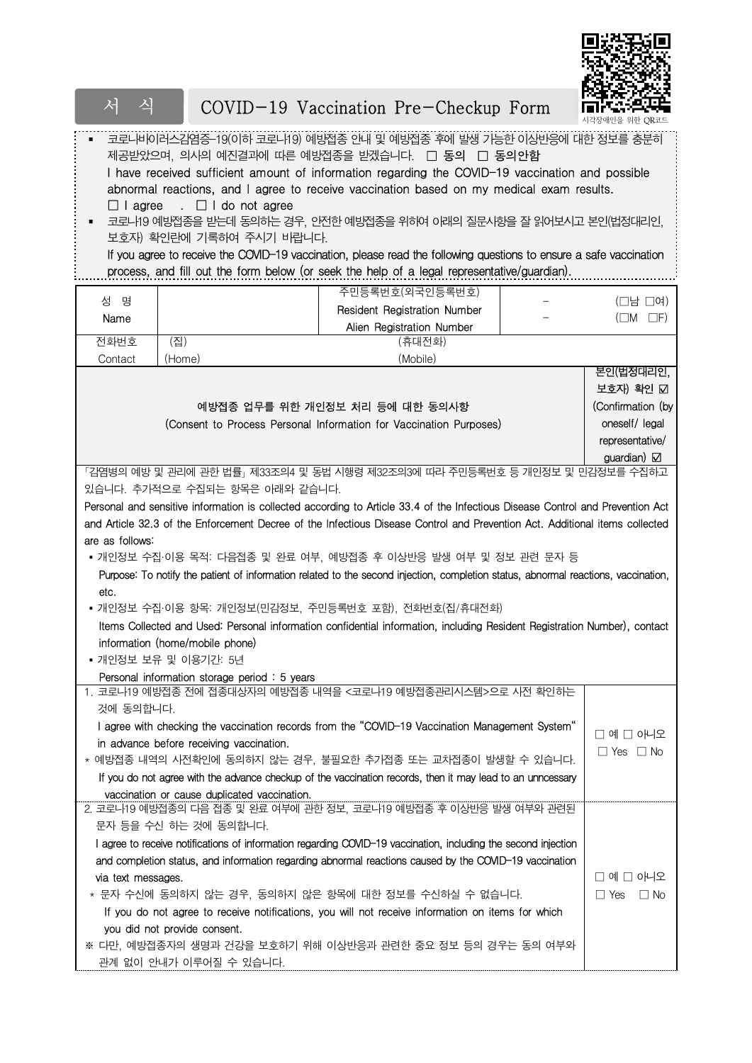

| 식<br>서                                                      |                                                                                                                           |  | COVID-19 Vaccination Pre-Checkup Form                                                                                                                                                                                                                                                                                                                                                                                                                                                                                                                                                                         |  |                                          |  |  |  |
|-------------------------------------------------------------|---------------------------------------------------------------------------------------------------------------------------|--|---------------------------------------------------------------------------------------------------------------------------------------------------------------------------------------------------------------------------------------------------------------------------------------------------------------------------------------------------------------------------------------------------------------------------------------------------------------------------------------------------------------------------------------------------------------------------------------------------------------|--|------------------------------------------|--|--|--|
| $\Box$ I agree                                              | . $\Box$ I do not agree<br>보호자) 확인란에 기록하여 주시기 바랍니다.                                                                       |  | 코로나비이러스감염증-19(이하 코로나19) 예방접종 안내 및 예방접종 후에 발생 가능한 이상반응에 대한 정보를 충분히<br>제공받았으며, 의사의 예진결과에 따른 예방접종을 받겠습니다. □ 동의 □ 동의안함<br>I have received sufficient amount of information regarding the COVID-19 vaccination and possible<br>abnormal reactions, and I agree to receive vaccination based on my medical exam results.<br>코로나19 예빙접종을 받는데 동의하는 경우, 인전한 예방접종을 위하여 아래의 질문사항을 잘 읽어보시고 본인(법정대리인,<br>If you agree to receive the COVID-19 vaccination, please read the following questions to ensure a safe vaccination<br>process, and fill out the form below (or seek the help of a legal representative/guardian). |  |                                          |  |  |  |
|                                                             |                                                                                                                           |  |                                                                                                                                                                                                                                                                                                                                                                                                                                                                                                                                                                                                               |  |                                          |  |  |  |
| 성 명<br>Name                                                 |                                                                                                                           |  | 주민등록번호(외국인등록번호)<br>Resident Registration Number                                                                                                                                                                                                                                                                                                                                                                                                                                                                                                                                                               |  | $(\Box$ 남 $\Box$ 여)<br>$(\Box M \Box F)$ |  |  |  |
| 전화번호                                                        | (집)                                                                                                                       |  | Alien Registration Number<br>(휴대전화)                                                                                                                                                                                                                                                                                                                                                                                                                                                                                                                                                                           |  |                                          |  |  |  |
| Contact                                                     | (Home)                                                                                                                    |  | (Mobile)                                                                                                                                                                                                                                                                                                                                                                                                                                                                                                                                                                                                      |  |                                          |  |  |  |
|                                                             |                                                                                                                           |  |                                                                                                                                                                                                                                                                                                                                                                                                                                                                                                                                                                                                               |  | 본인(법정대리인,                                |  |  |  |
|                                                             |                                                                                                                           |  |                                                                                                                                                                                                                                                                                                                                                                                                                                                                                                                                                                                                               |  | 보호자) 확인 ☑                                |  |  |  |
|                                                             |                                                                                                                           |  | 예방접종 업무를 위한 개인정보 처리 등에 대한 동의사항                                                                                                                                                                                                                                                                                                                                                                                                                                                                                                                                                                                |  | (Confirmation (by                        |  |  |  |
|                                                             |                                                                                                                           |  | (Consent to Process Personal Information for Vaccination Purposes)                                                                                                                                                                                                                                                                                                                                                                                                                                                                                                                                            |  | oneself/ legal                           |  |  |  |
|                                                             |                                                                                                                           |  |                                                                                                                                                                                                                                                                                                                                                                                                                                                                                                                                                                                                               |  | representative/                          |  |  |  |
|                                                             |                                                                                                                           |  |                                                                                                                                                                                                                                                                                                                                                                                                                                                                                                                                                                                                               |  | guardian) $\boxtimes$                    |  |  |  |
|                                                             |                                                                                                                           |  | 「김염병의 예방 및 관리에 관한 법률」 제33조의4 및 동법 시행령 제32조의3에 따라 주민등록번호 등 개인정보 및 민김정보를 수집하고                                                                                                                                                                                                                                                                                                                                                                                                                                                                                                                                   |  |                                          |  |  |  |
|                                                             | 있습니다. 추가적으로 수집되는 항목은 아래와 같습니다.                                                                                            |  |                                                                                                                                                                                                                                                                                                                                                                                                                                                                                                                                                                                                               |  |                                          |  |  |  |
|                                                             |                                                                                                                           |  | Personal and sensitive information is collected according to Article 33.4 of the Infectious Disease Control and Prevention Act                                                                                                                                                                                                                                                                                                                                                                                                                                                                                |  |                                          |  |  |  |
|                                                             |                                                                                                                           |  | and Article 32.3 of the Enforcement Decree of the Infectious Disease Control and Prevention Act. Additional items collected                                                                                                                                                                                                                                                                                                                                                                                                                                                                                   |  |                                          |  |  |  |
| are as follows:                                             |                                                                                                                           |  |                                                                                                                                                                                                                                                                                                                                                                                                                                                                                                                                                                                                               |  |                                          |  |  |  |
|                                                             |                                                                                                                           |  | • 개인정보 수집·이용 목적: 다음접종 및 완료 여부, 예방접종 후 이상반응 발생 여부 및 정보 관련 문자 등                                                                                                                                                                                                                                                                                                                                                                                                                                                                                                                                                 |  |                                          |  |  |  |
|                                                             |                                                                                                                           |  | Purpose: To notify the patient of information related to the second injection, completion status, abnormal reactions, vaccination,                                                                                                                                                                                                                                                                                                                                                                                                                                                                            |  |                                          |  |  |  |
| etc.                                                        |                                                                                                                           |  |                                                                                                                                                                                                                                                                                                                                                                                                                                                                                                                                                                                                               |  |                                          |  |  |  |
|                                                             |                                                                                                                           |  | • 개인정보 수집·이용 항목: 개인정보(민감정보, 주민등록번호 포함), 전화번호(집/휴대전화)                                                                                                                                                                                                                                                                                                                                                                                                                                                                                                                                                          |  |                                          |  |  |  |
|                                                             |                                                                                                                           |  | Items Collected and Used: Personal information confidential information, including Resident Registration Number), contact                                                                                                                                                                                                                                                                                                                                                                                                                                                                                     |  |                                          |  |  |  |
|                                                             | information (home/mobile phone)                                                                                           |  |                                                                                                                                                                                                                                                                                                                                                                                                                                                                                                                                                                                                               |  |                                          |  |  |  |
|                                                             | • 개인정보 보유 및 이용기간: 5년                                                                                                      |  |                                                                                                                                                                                                                                                                                                                                                                                                                                                                                                                                                                                                               |  |                                          |  |  |  |
|                                                             | Personal information storage period: 5 years                                                                              |  |                                                                                                                                                                                                                                                                                                                                                                                                                                                                                                                                                                                                               |  |                                          |  |  |  |
|                                                             |                                                                                                                           |  | 1. 코로나19 예방접종 전에 접종대상자의 예방접종 내역을 <코로나19 예방접종관리시스템>으로 시전 확인하는                                                                                                                                                                                                                                                                                                                                                                                                                                                                                                                                                  |  |                                          |  |  |  |
| 것에 동의합니다.                                                   |                                                                                                                           |  |                                                                                                                                                                                                                                                                                                                                                                                                                                                                                                                                                                                                               |  |                                          |  |  |  |
|                                                             |                                                                                                                           |  | I agree with checking the vaccination records from the "COVID-19 Vaccination Management System"                                                                                                                                                                                                                                                                                                                                                                                                                                                                                                               |  | $\square$ 예 $\square$ 아니오                |  |  |  |
| in advance before receiving vaccination.                    | $\Box$ Yes $\Box$ No                                                                                                      |  |                                                                                                                                                                                                                                                                                                                                                                                                                                                                                                                                                                                                               |  |                                          |  |  |  |
| * 예방접종 내역의 시전확인에 동의하지 않는 경우, 불필요한 추기접종 또는 교차접종이 발생할 수 있습니다. |                                                                                                                           |  |                                                                                                                                                                                                                                                                                                                                                                                                                                                                                                                                                                                                               |  |                                          |  |  |  |
|                                                             |                                                                                                                           |  | If you do not agree with the advance checkup of the vaccination records, then it may lead to an unncessary                                                                                                                                                                                                                                                                                                                                                                                                                                                                                                    |  |                                          |  |  |  |
|                                                             | vaccination or cause duplicated vaccination.                                                                              |  |                                                                                                                                                                                                                                                                                                                                                                                                                                                                                                                                                                                                               |  |                                          |  |  |  |
|                                                             |                                                                                                                           |  | 2. 코로나19 예방접종의 다음 접종 및 완료 여부에 관한 정보, 코로나19 예방접종 후 이상반응 발생 여부와 관련된                                                                                                                                                                                                                                                                                                                                                                                                                                                                                                                                             |  |                                          |  |  |  |
|                                                             | 문자 등을 수신 하는 것에 동의합니다.                                                                                                     |  |                                                                                                                                                                                                                                                                                                                                                                                                                                                                                                                                                                                                               |  |                                          |  |  |  |
|                                                             |                                                                                                                           |  | I agree to receive notifications of information regarding COVID-19 vaccination, including the second injection                                                                                                                                                                                                                                                                                                                                                                                                                                                                                                |  |                                          |  |  |  |
|                                                             |                                                                                                                           |  | and completion status, and information regarding abnormal reactions caused by the COVID-19 vaccination                                                                                                                                                                                                                                                                                                                                                                                                                                                                                                        |  |                                          |  |  |  |
|                                                             | □ 예 □ 아니오<br>via text messages.                                                                                           |  |                                                                                                                                                                                                                                                                                                                                                                                                                                                                                                                                                                                                               |  |                                          |  |  |  |
|                                                             | * 문자 수신에 동의하지 않는 경우, 동의하지 않은 항목에 대한 정보를 수신하실 수 없습니다.                                                                      |  |                                                                                                                                                                                                                                                                                                                                                                                                                                                                                                                                                                                                               |  |                                          |  |  |  |
|                                                             | $\Box$ Yes $\Box$ No<br>If you do not agree to receive notifications, you will not receive information on items for which |  |                                                                                                                                                                                                                                                                                                                                                                                                                                                                                                                                                                                                               |  |                                          |  |  |  |
|                                                             |                                                                                                                           |  |                                                                                                                                                                                                                                                                                                                                                                                                                                                                                                                                                                                                               |  |                                          |  |  |  |
|                                                             | you did not provide consent.                                                                                              |  | ※ 다만, 예방접종자의 생명과 건강을 보호하기 위해 이상반응과 관련한 중요 정보 등의 경우는 동의 여부와                                                                                                                                                                                                                                                                                                                                                                                                                                                                                                                                                    |  |                                          |  |  |  |
|                                                             | 관계 없이 안내가 이루어질 수 있습니다.                                                                                                    |  |                                                                                                                                                                                                                                                                                                                                                                                                                                                                                                                                                                                                               |  |                                          |  |  |  |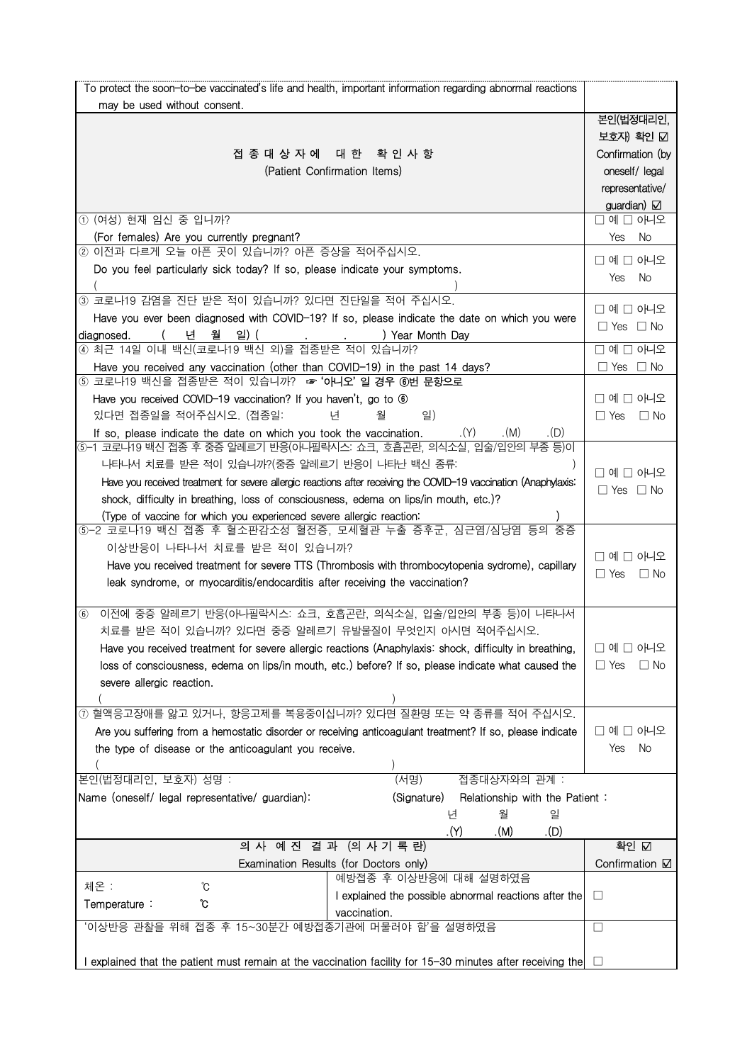| 본인(법정대리인,<br>보호자) 확인 ☑<br>Confirmation (by<br>oneself/ legal<br>representative/<br>guardian) $\boxtimes$<br>$\Box$ 예 $\Box$ 아니오<br>Yes No<br>□ 예 □ 아니오<br>Yes No<br>□ 예 □ 아니오<br>$\Box$ Yes $\Box$ No<br>$\square$ 예 $\square$ 아니오<br>$\Box$ Yes $\Box$ No<br>□ 예 □ 아니오<br>$\Box$ Yes $\Box$ No<br>□예□ 아니오<br>$\Box$ Yes $\Box$ No |
|------------------------------------------------------------------------------------------------------------------------------------------------------------------------------------------------------------------------------------------------------------------------------------------------------------------------------------|
|                                                                                                                                                                                                                                                                                                                                    |
|                                                                                                                                                                                                                                                                                                                                    |
|                                                                                                                                                                                                                                                                                                                                    |
|                                                                                                                                                                                                                                                                                                                                    |
|                                                                                                                                                                                                                                                                                                                                    |
|                                                                                                                                                                                                                                                                                                                                    |
|                                                                                                                                                                                                                                                                                                                                    |
|                                                                                                                                                                                                                                                                                                                                    |
|                                                                                                                                                                                                                                                                                                                                    |
|                                                                                                                                                                                                                                                                                                                                    |
|                                                                                                                                                                                                                                                                                                                                    |
|                                                                                                                                                                                                                                                                                                                                    |
|                                                                                                                                                                                                                                                                                                                                    |
|                                                                                                                                                                                                                                                                                                                                    |
|                                                                                                                                                                                                                                                                                                                                    |
|                                                                                                                                                                                                                                                                                                                                    |
|                                                                                                                                                                                                                                                                                                                                    |
|                                                                                                                                                                                                                                                                                                                                    |
|                                                                                                                                                                                                                                                                                                                                    |
|                                                                                                                                                                                                                                                                                                                                    |
|                                                                                                                                                                                                                                                                                                                                    |
|                                                                                                                                                                                                                                                                                                                                    |
|                                                                                                                                                                                                                                                                                                                                    |
|                                                                                                                                                                                                                                                                                                                                    |
|                                                                                                                                                                                                                                                                                                                                    |
|                                                                                                                                                                                                                                                                                                                                    |
|                                                                                                                                                                                                                                                                                                                                    |
| □ 예 □ 아니오                                                                                                                                                                                                                                                                                                                          |
| $\Box$ Yes $\Box$ No                                                                                                                                                                                                                                                                                                               |
|                                                                                                                                                                                                                                                                                                                                    |
|                                                                                                                                                                                                                                                                                                                                    |
| $\square$ 예 $\square$ 아니오                                                                                                                                                                                                                                                                                                          |
| $\Box$ Yes $\Box$ No                                                                                                                                                                                                                                                                                                               |
|                                                                                                                                                                                                                                                                                                                                    |
|                                                                                                                                                                                                                                                                                                                                    |
|                                                                                                                                                                                                                                                                                                                                    |
| □ 예 □ 아니오                                                                                                                                                                                                                                                                                                                          |
| Yes No                                                                                                                                                                                                                                                                                                                             |
|                                                                                                                                                                                                                                                                                                                                    |
|                                                                                                                                                                                                                                                                                                                                    |
| Relationship with the Patient:                                                                                                                                                                                                                                                                                                     |
|                                                                                                                                                                                                                                                                                                                                    |
| 확인 $\overline{\Omega}$                                                                                                                                                                                                                                                                                                             |
| Confirmation <b>☑</b>                                                                                                                                                                                                                                                                                                              |
|                                                                                                                                                                                                                                                                                                                                    |
| $\Box$                                                                                                                                                                                                                                                                                                                             |
|                                                                                                                                                                                                                                                                                                                                    |
| $\Box$                                                                                                                                                                                                                                                                                                                             |
| I explained that the patient must remain at the vaccination facility for 15-30 minutes after receiving the $\Box$                                                                                                                                                                                                                  |